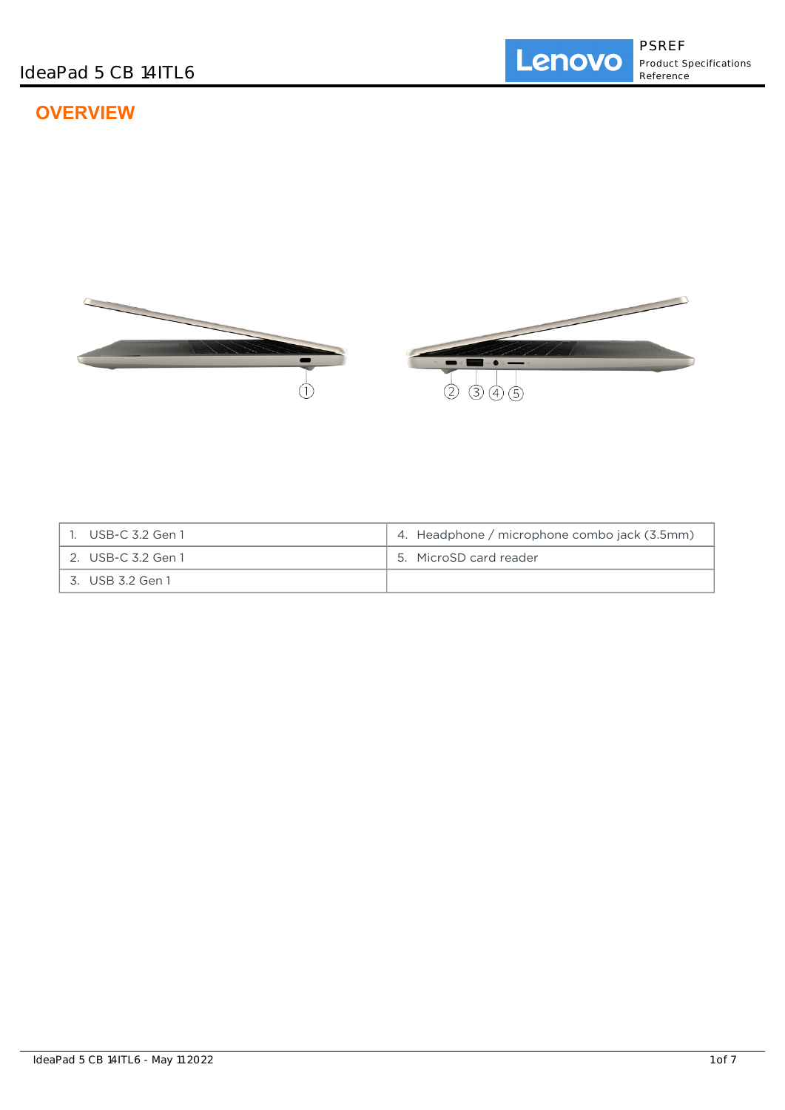# **OVERVIEW**



| 1. USB-C 3.2 Gen 1 | 4. Headphone / microphone combo jack (3.5mm) |
|--------------------|----------------------------------------------|
| 2. USB-C 3.2 Gen 1 | 5. MicroSD card reader                       |
| 3. USB 3.2 Gen 1   |                                              |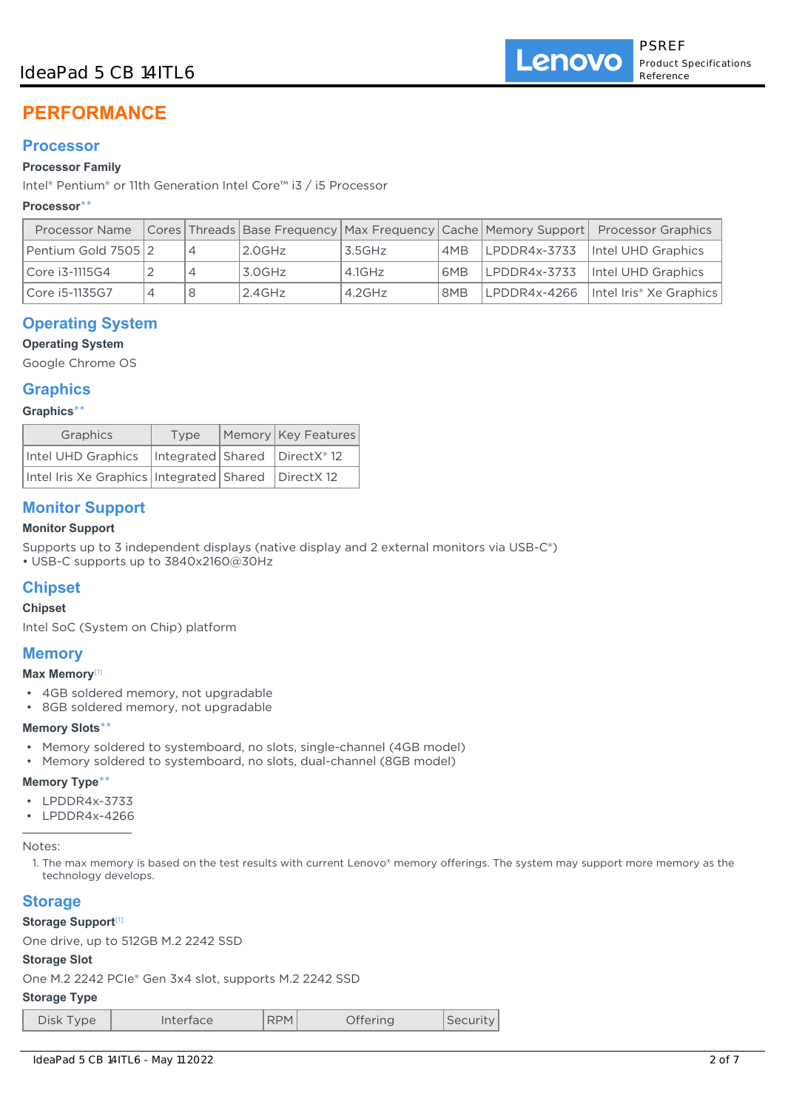# IdeaPad 5 CB 14ITL6

# **PERFORMANCE**

# **Processor**

## **Processor Family**

Intel® Pentium® or 11th Generation Intel Core™ i3 / i5 Processor

## **Processor**\*\*

| <b>Processor Name</b> |  |           |           |     | Cores Threads Base Frequency   Max Frequency   Cache   Memory Support   Processor Graphics |
|-----------------------|--|-----------|-----------|-----|--------------------------------------------------------------------------------------------|
| Pentium Gold 7505 2   |  | 2.0GHz    | 3.5GHz    | AMB | LPDDR4x-3733  Intel UHD Graphics                                                           |
| Core i3-1115G4        |  | 3.0GHz    | 4.1GHz    | 6MB | LPDDR4x-3733  Intel UHD Graphics                                                           |
| Core i5-1135G7        |  | $2.4$ GHz | $4.2$ GHz | 8MB | LPDDR4x-4266   Intel Iris® Xe Graphics                                                     |

# **Operating System**

**Operating System**

Google Chrome OS

## **Graphics**

**Graphics**\*\*

| Graphics                                                  | Type | Memory Key Features |  |
|-----------------------------------------------------------|------|---------------------|--|
| Intel UHD Graphics   Integrated   Shared   DirectX® 12    |      |                     |  |
| Intel Iris Xe Graphics   Integrated   Shared   DirectX 12 |      |                     |  |

# **Monitor Support**

## **Monitor Support**

Supports up to 3 independent displays (native display and 2 external monitors via USB-C®)

• USB-C supports up to 3840x2160@30Hz

# **Chipset**

## **Chipset**

Intel SoC (System on Chip) platform

## **Memory**

## **Max Memory**[1]

- 4GB soldered memory, not upgradable
- 8GB soldered memory, not upgradable

## **Memory Slots**\*\*

- Memory soldered to systemboard, no slots, single-channel (4GB model)
- Memory soldered to systemboard, no slots, dual-channel (8GB model)

## **Memory Type**\*\*

- LPDDR4x-3733
- LPDDR4x-4266

Notes:

1. The max memory is based on the test results with current Lenovo® memory offerings. The system may support more memory as the technology develops.

## **Storage**

## **Storage Support**[1]

One drive, up to 512GB M.2 2242 SSD

#### **Storage Slot**

One M.2 2242 PCIe® Gen 3x4 slot, supports M.2 2242 SSD

#### **Storage Type**

| Disk Type |  |
|-----------|--|
|           |  |
|           |  |

Interface | RPM Offering | Security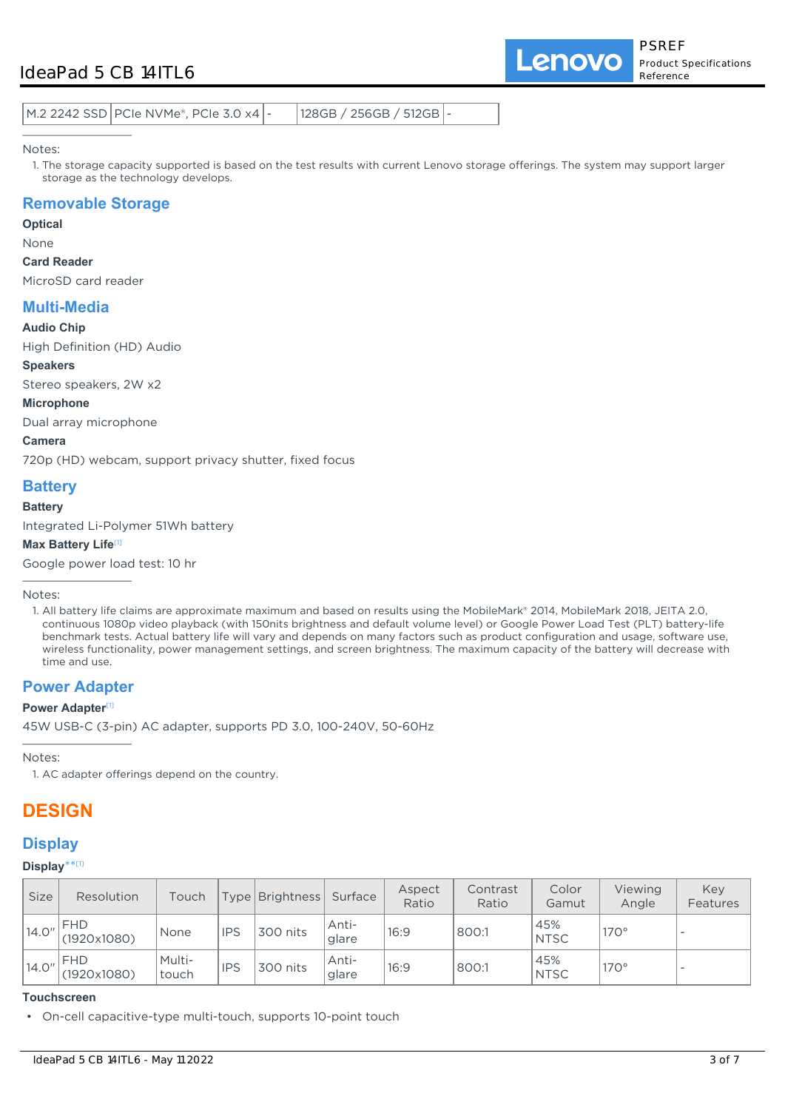# IdeaPad 5 CB 14ITL6

Lenovo

| $128GB / 256GB / 512GB$ -<br>  M.2 2242 SSD   PCIe NVMe®, PCIe 3.0 x4   - |
|---------------------------------------------------------------------------|
|---------------------------------------------------------------------------|

Notes:

1. The storage capacity supported is based on the test results with current Lenovo storage offerings. The system may support larger storage as the technology develops.

## **Removable Storage**

**Optical**

None

#### **Card Reader**

MicroSD card reader

## **Multi-Media**

**Audio Chip**

High Definition (HD) Audio

**Speakers** Stereo speakers, 2W x2

**Microphone**

Dual array microphone

**Camera**

720p (HD) webcam, support privacy shutter, fixed focus

# **Battery**

#### **Battery**

Integrated Li-Polymer 51Wh battery

#### **Max Battery Life**[1]

Google power load test: 10 hr

Notes:

## **Power Adapter**

#### **Power Adapter**<sup>[1]</sup>

45W USB-C (3-pin) AC adapter, supports PD 3.0, 100-240V, 50-60Hz

Notes:

1. AC adapter offerings depend on the country.

# **DESIGN**

## **Display**

#### **Display**\*\* [1]

| <b>Size</b> | <b>Resolution</b>         | Touch           |            | Type   Brightness | Surface          | Aspect<br>Ratio | Contrast<br>Ratio | Color<br>Gamut     | Viewing<br>Angle | Key<br>Features |
|-------------|---------------------------|-----------------|------------|-------------------|------------------|-----------------|-------------------|--------------------|------------------|-----------------|
| 14.0"       | <b>FHD</b><br>(1920x1080) | None            | <b>IPS</b> | 300 nits          | Anti-<br>glare   | 16:9            | 800:1             | 45%<br><b>NTSC</b> | $170^\circ$      |                 |
| 14.0"       | <b>FHD</b><br>(1920x1080) | Multi-<br>touch | <b>IPS</b> | 300 nits          | Anti-<br>' glare | 16:9            | 800:1             | 45%<br><b>NTSC</b> | $170^\circ$      |                 |

#### **Touchscreen**

• On-cell capacitive-type multi-touch, supports 10-point touch

<sup>1.</sup> All battery life claims are approximate maximum and based on results using the MobileMark® 2014, MobileMark 2018, JEITA 2.0, continuous 1080p video playback (with 150nits brightness and default volume level) or Google Power Load Test (PLT) battery-life benchmark tests. Actual battery life will vary and depends on many factors such as product configuration and usage, software use, wireless functionality, power management settings, and screen brightness. The maximum capacity of the battery will decrease with time and use.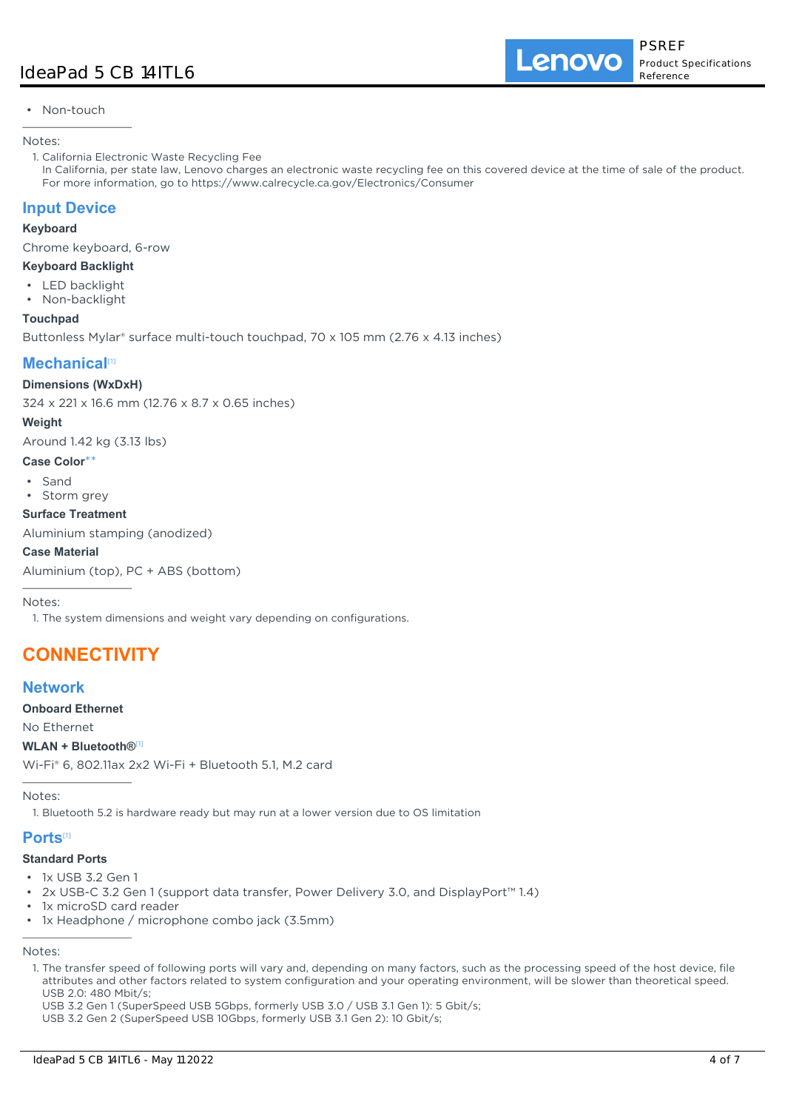#### • Non-touch

#### Notes:

1. California Electronic Waste Recycling Fee

In California, per state law, Lenovo charges an electronic waste recycling fee on this covered device at the time of sale of the product. For more information, go to https://www.calrecycle.ca.gov/Electronics/Consumer

## **Input Device**

#### **Keyboard**

Chrome keyboard, 6-row

### **Keyboard Backlight**

- LED backlight
- Non-backlight

#### **Touchpad**

Buttonless Mylar® surface multi-touch touchpad, 70 x 105 mm (2.76 x 4.13 inches)

# **Mechanical**[1]

#### **Dimensions (WxDxH)**

324 x 221 x 16.6 mm (12.76 x 8.7 x 0.65 inches)

#### **Weight**

Around 1.42 kg (3.13 lbs)

#### **Case Color**\*\*

- Sand
- Storm grey

#### **Surface Treatment**

Aluminium stamping (anodized)

#### **Case Material**

Aluminium (top), PC + ABS (bottom)

Notes:

1. The system dimensions and weight vary depending on configurations.

# **CONNECTIVITY**

## **Network**

**Onboard Ethernet**

No Ethernet

#### **WLAN + Bluetooth®**[1]

Wi-Fi® 6, 802.11ax 2x2 Wi-Fi + Bluetooth 5.1, M.2 card

Notes:

1. Bluetooth 5.2 is hardware ready but may run at a lower version due to OS limitation

## **Ports**[1]

## **Standard Ports**

- 1x USB 3.2 Gen 1
- 2x USB-C 3.2 Gen 1 (support data transfer, Power Delivery 3.0, and DisplayPort™ 1.4)
- 1x microSD card reader
- 1x Headphone / microphone combo jack (3.5mm)

Notes:

1. The transfer speed of following ports will vary and, depending on many factors, such as the processing speed of the host device, file attributes and other factors related to system configuration and your operating environment, will be slower than theoretical speed. USB 2.0: 480 Mbit/s;

USB 3.2 Gen 1 (SuperSpeed USB 5Gbps, formerly USB 3.0 / USB 3.1 Gen 1): 5 Gbit/s;

USB 3.2 Gen 2 (SuperSpeed USB 10Gbps, formerly USB 3.1 Gen 2): 10 Gbit/s;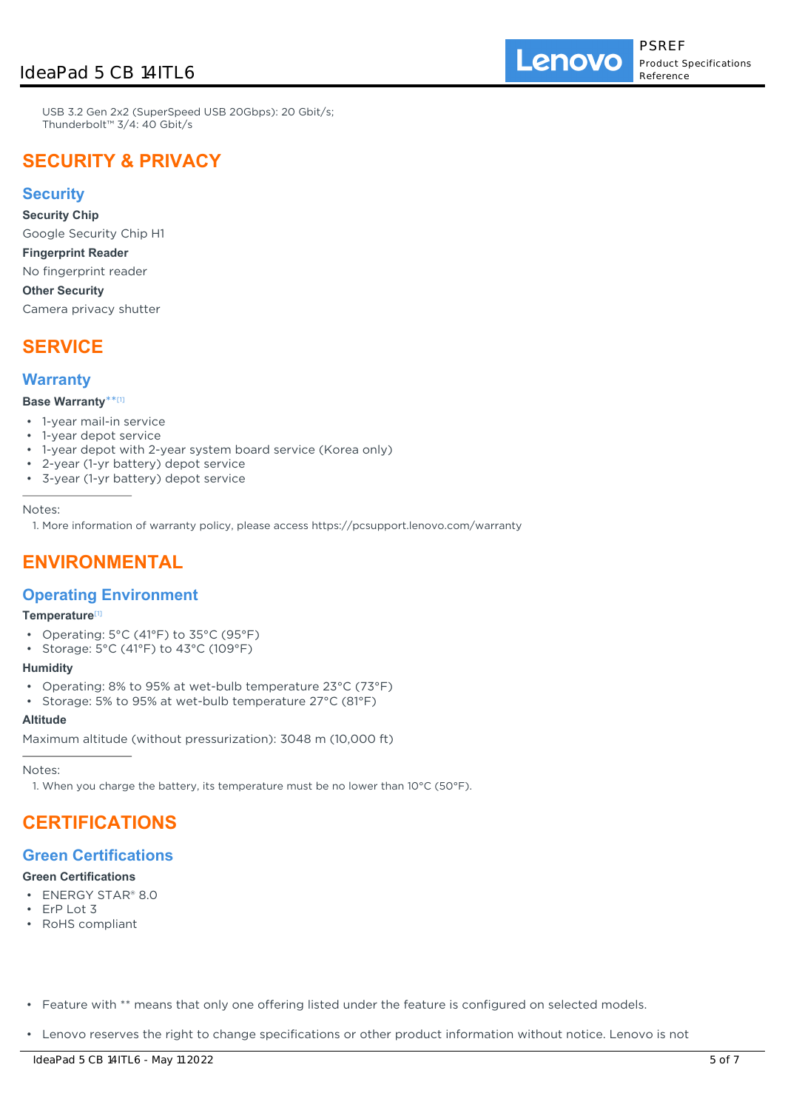Lenovo

USB 3.2 Gen 2x2 (SuperSpeed USB 20Gbps): 20 Gbit/s; Thunderbolt™ 3/4: 40 Gbit/s

# **SECURITY & PRIVACY**

## **Security**

**Security Chip**

Google Security Chip H1

**Fingerprint Reader**

No fingerprint reader **Other Security**

Camera privacy shutter

# **SERVICE**

## **Warranty**

### **Base Warranty**\*\* [1]

- 1-year mail-in service
- 1-year depot service
- 1-year depot with 2-year system board service (Korea only)
- 2-year (1-yr battery) depot service
- 3-year (1-yr battery) depot service

Notes:

1. More information of warranty policy, please access https://pcsupport.lenovo.com/warranty

# **ENVIRONMENTAL**

## **Operating Environment**

## **Temperature**[1]

- Operating: 5°C (41°F) to 35°C (95°F)
- Storage: 5°C (41°F) to 43°C (109°F)

#### **Humidity**

- Operating: 8% to 95% at wet-bulb temperature 23°C (73°F)
- Storage: 5% to 95% at wet-bulb temperature 27°C (81°F)

#### **Altitude**

Maximum altitude (without pressurization): 3048 m (10,000 ft)

Notes:

1. When you charge the battery, its temperature must be no lower than 10°C (50°F).

# **CERTIFICATIONS**

## **Green Certifications**

## **Green Certifications**

- ENERGY STAR® 8.0
- ErP Lot 3
- RoHS compliant
- Feature with \*\* means that only one offering listed under the feature is configured on selected models.
- Lenovo reserves the right to change specifications or other product information without notice. Lenovo is not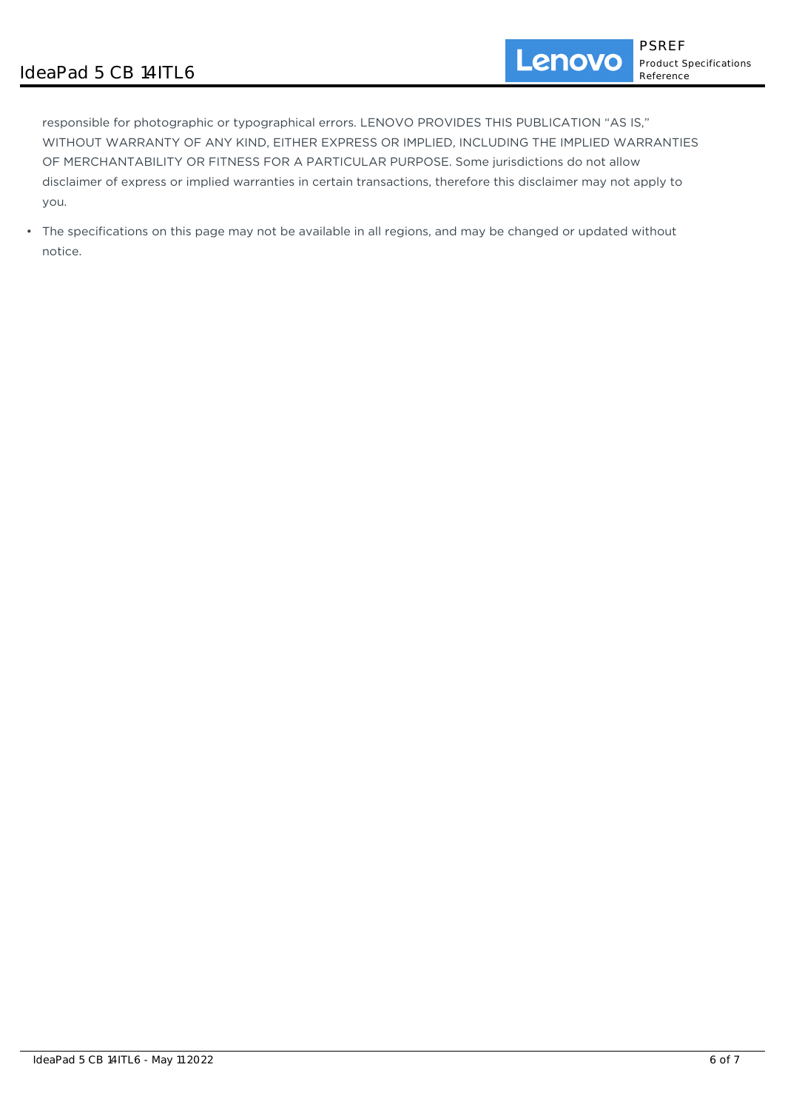responsible for photographic or typographical errors. LENOVO PROVIDES THIS PUBLICATION "AS IS," WITHOUT WARRANTY OF ANY KIND, EITHER EXPRESS OR IMPLIED, INCLUDING THE IMPLIED WARRANTIES OF MERCHANTABILITY OR FITNESS FOR A PARTICULAR PURPOSE. Some jurisdictions do not allow disclaimer of express or implied warranties in certain transactions, therefore this disclaimer may not apply to you.

• The specifications on this page may not be available in all regions, and may be changed or updated without notice.